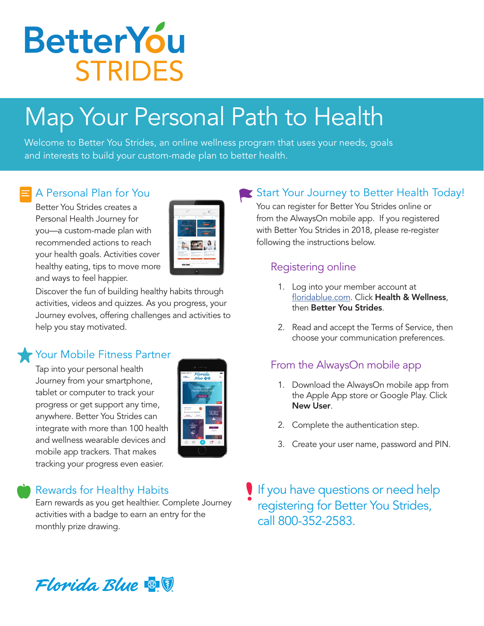

# Map Your Personal Path to Health

Welcome to Better You Strides, an online wellness program that uses your needs, goals and interests to build your custom-made plan to better health.

### A Personal Plan for You

Better You Strides creates a Personal Health Journey for you—a custom-made plan with recommended actions to reach your health goals. Activities cover healthy eating, tips to move more and ways to feel happier.

|                                                                                               | è.<br>٠                                                                                              |
|-----------------------------------------------------------------------------------------------|------------------------------------------------------------------------------------------------------|
| -<br>$\circ$<br>$m +$<br>í<br><b>Report Follows</b>                                           | <b>CONTRACTOR</b><br>50<br>spinster.<br><b>STATISTICS</b><br><b>Contract</b><br><b>Sales America</b> |
| Webcome Video                                                                                 | ш,<br>ä                                                                                              |
| Exclose                                                                                       |                                                                                                      |
| ø<br>$\sim$<br><b>School &amp; New Arrest</b><br><b>CONTRACT</b><br>$-110$<br>Searchive trees | s.<br><b>Texture sense of aller</b><br>A Sunt Baped System's                                         |
| <b>COMPANY</b><br><b><i>START AT START AND RESERVED FOR THE ABSENT</i></b>                    | hos was analy frame warms have                                                                       |
|                                                                                               |                                                                                                      |

Discover the fun of building healthy habits through activities, videos and quizzes. As you progress, your Journey evolves, offering challenges and activities to help you stay motivated.

#### Your Mobile Fitness Partner

Tap into your personal health Journey from your smartphone, tablet or computer to track your progress or get support any time, anywhere. Better You Strides can integrate with more than 100 health and wellness wearable devices and mobile app trackers. That makes tracking your progress even easier.

| mas Carter 9<br>$700 -$                                                                                             | Florida<br><b>Blue</b> & U                    |                              | Ö         |
|---------------------------------------------------------------------------------------------------------------------|-----------------------------------------------|------------------------------|-----------|
| <b>Health Assessmen</b>                                                                                             | Complete Your<br>Out Stated<br><b>EXAMPLE</b> |                              | œ.<br>100 |
| <b>Branch Schulz</b><br><b>MALLY ALLE</b><br>"Melahasis are letters moth<br>School<br><b><i><u>TRAFFICE</u></i></b> | ø                                             | <b>Fat Group</b><br>Chairnan | п<br>50   |
| Conciliat<br>Converte<br>ď                                                                                          |                                               | server.                      |           |
| O<br>88                                                                                                             |                                               | ⊠                            | ρ         |

# Rewards for Healthy Habits

Earn rewards as you get healthier. Complete Journey activities with a badge to earn an entry for the monthly prize drawing.

# Start Your Journey to Better Health Today!

You can register for Better You Strides online or from the AlwaysOn mobile app. If you registered with Better You Strides in 2018, please re-register following the instructions below.

### Registering online

- 1. Log into your member account at [floridablue.com.](http://www.floridablue.com) Click Health & Wellness, then Better You Strides.
- 2. Read and accept the Terms of Service, then choose your communication preferences.

# From the AlwaysOn mobile app

- 1. Download the AlwaysOn mobile app from the Apple App store or Google Play. Click New User.
- 2. Complete the authentication step.
- 3. Create your user name, password and PIN.

If you have questions or need help registering for Better You Strides, call 800-352-2583.